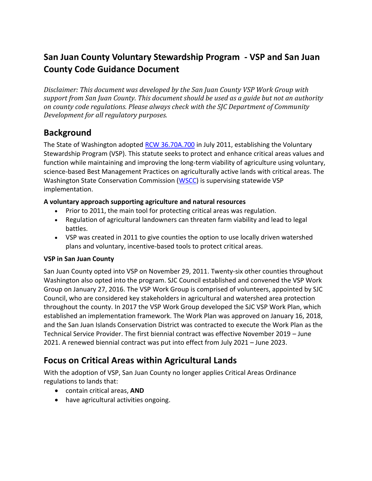# **San Juan County Voluntary Stewardship Program - VSP and San Juan County Code Guidance Document**

*Disclaimer: This document was developed by the San Juan County VSP Work Group with support from San Juan County. This document should be used as a guide but not an authority on county code regulations. Please always check with the SJC Department of Community Development for all regulatory purposes.* 

### **Background**

The State of Washington adopted RCW 36.70A.700 in July 2011, establishing the Voluntary Stewardship Program (VSP). This statute seeks to protect and enhance critical areas values and function while maintaining and improving the long-term viability of agriculture using voluntary, science-based Best Management Practices on agriculturally active lands with critical areas. The Washington State Conservation Commission (WSCC) is supervising statewide VSP implementation.

#### **A voluntary approach supporting agriculture and natural resources**

- Prior to 2011, the main tool for protecting critical areas was regulation.
- Regulation of agricultural landowners can threaten farm viability and lead to legal battles.
- VSP was created in 2011 to give counties the option to use locally driven watershed plans and voluntary, incentive-based tools to protect critical areas.

#### **VSP in San Juan County**

San Juan County opted into VSP on November 29, 2011. Twenty-six other counties throughout Washington also opted into the program. SJC Council established and convened the VSP Work Group on January 27, 2016. The VSP Work Group is comprised of volunteers, appointed by SJC Council, who are considered key stakeholders in agricultural and watershed area protection throughout the county. In 2017 the VSP Work Group developed the SJC VSP Work Plan, which established an implementation framework. The Work Plan was approved on January 16, 2018, and the San Juan Islands Conservation District was contracted to execute the Work Plan as the Technical Service Provider. The first biennial contract was effective November 2019 – June 2021. A renewed biennial contract was put into effect from July 2021 – June 2023.

## **Focus on Critical Areas within Agricultural Lands**

With the adoption of VSP, San Juan County no longer applies Critical Areas Ordinance regulations to lands that:

- contain critical areas, **AND**
- have agricultural activities ongoing.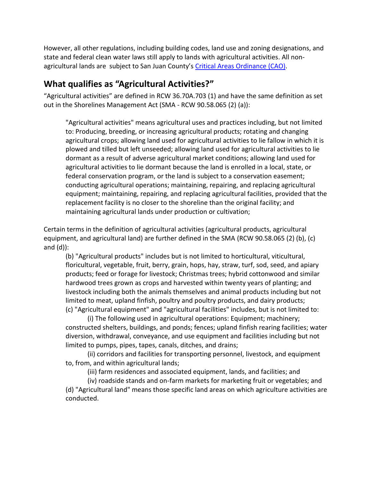However, all other regulations, including building codes, land use and zoning designations, and state and federal clean water laws still apply to lands with agricultural activities. All nonagricultural lands are subject to San Juan County's Critical Areas Ordinance (CAO).

### **What qualifies as "Agricultural Activities?"**

"Agricultural activities" are defined in RCW 36.70A.703 (1) and have the same definition as set out in the Shorelines Management Act (SMA - RCW 90.58.065 (2) (a)):

"Agricultural activities" means agricultural uses and practices including, but not limited to: Producing, breeding, or increasing agricultural products; rotating and changing agricultural crops; allowing land used for agricultural activities to lie fallow in which it is plowed and tilled but left unseeded; allowing land used for agricultural activities to lie dormant as a result of adverse agricultural market conditions; allowing land used for agricultural activities to lie dormant because the land is enrolled in a local, state, or federal conservation program, or the land is subject to a conservation easement; conducting agricultural operations; maintaining, repairing, and replacing agricultural equipment; maintaining, repairing, and replacing agricultural facilities, provided that the replacement facility is no closer to the shoreline than the original facility; and maintaining agricultural lands under production or cultivation;

Certain terms in the definition of agricultural activities (agricultural products, agricultural equipment, and agricultural land) are further defined in the SMA (RCW 90.58.065 (2) (b), (c) and (d)):

(b) "Agricultural products" includes but is not limited to horticultural, viticultural, floricultural, vegetable, fruit, berry, grain, hops, hay, straw, turf, sod, seed, and apiary products; feed or forage for livestock; Christmas trees; hybrid cottonwood and similar hardwood trees grown as crops and harvested within twenty years of planting; and livestock including both the animals themselves and animal products including but not limited to meat, upland finfish, poultry and poultry products, and dairy products; (c) "Agricultural equipment" and "agricultural facilities" includes, but is not limited to:

(i) The following used in agricultural operations: Equipment; machinery; constructed shelters, buildings, and ponds; fences; upland finfish rearing facilities; water diversion, withdrawal, conveyance, and use equipment and facilities including but not limited to pumps, pipes, tapes, canals, ditches, and drains;

(ii) corridors and facilities for transporting personnel, livestock, and equipment to, from, and within agricultural lands;

(iii) farm residences and associated equipment, lands, and facilities; and

(iv) roadside stands and on-farm markets for marketing fruit or vegetables; and (d) "Agricultural land" means those specific land areas on which agriculture activities are conducted.